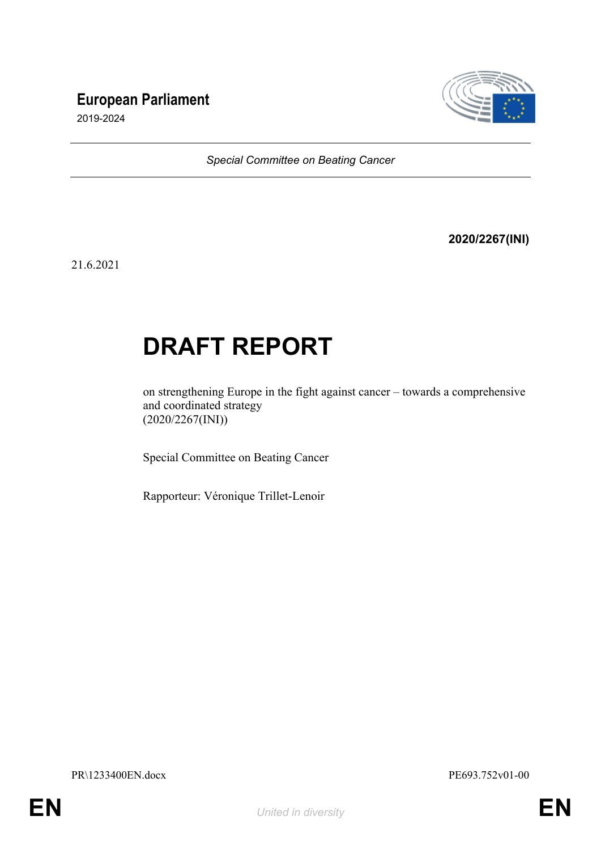# **European Parliament**



2019-2024

*Special Committee on Beating Cancer*

**2020/2267(INI)**

21.6.2021

# **DRAFT REPORT**

on strengthening Europe in the fight against cancer – towards a comprehensive and coordinated strategy (2020/2267(INI))

Special Committee on Beating Cancer

Rapporteur: Véronique Trillet-Lenoir

PR\1233400EN.docx PE693.752v01-00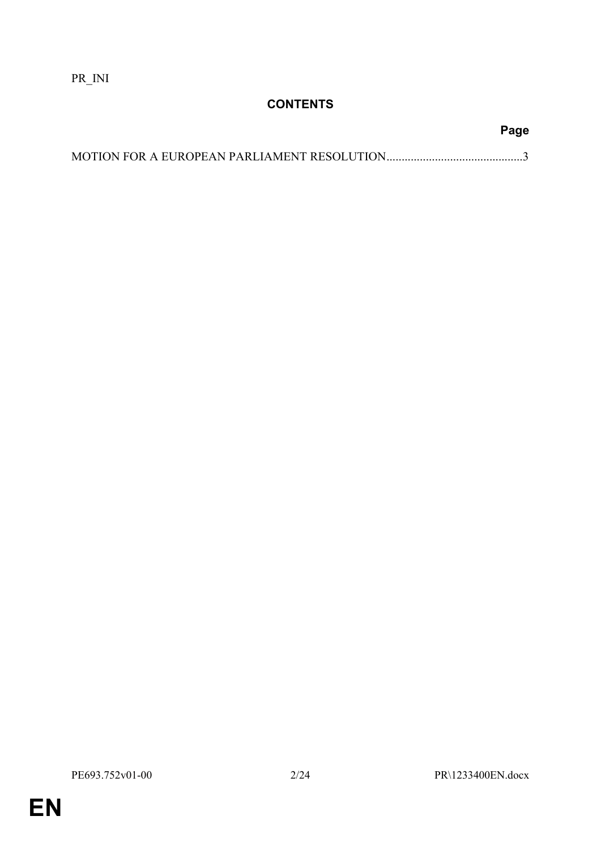PR\_INI

# **CONTENTS**

**Page**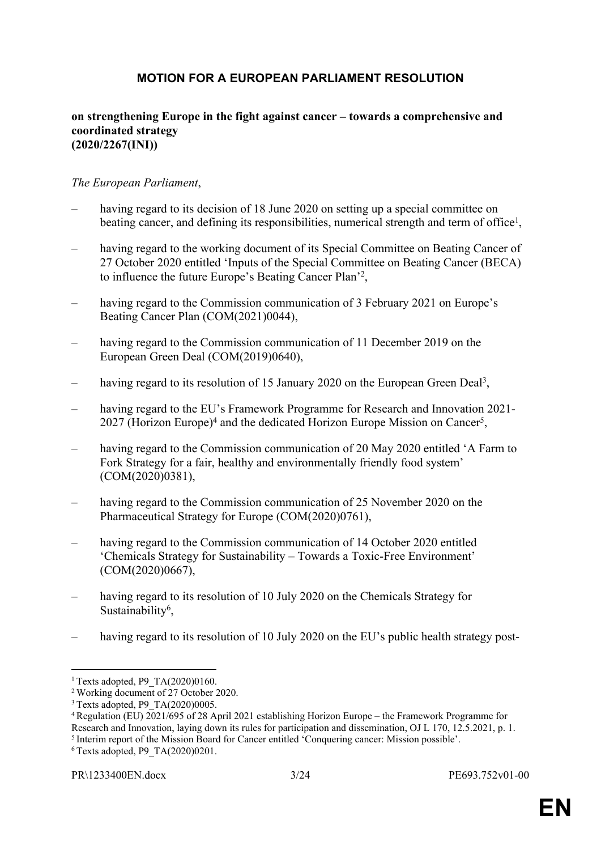# <span id="page-2-0"></span>**MOTION FOR A EUROPEAN PARLIAMENT RESOLUTION**

#### **on strengthening Europe in the fight against cancer – towards a comprehensive and coordinated strategy (2020/2267(INI))**

#### *The European Parliament*,

- having regard to its decision of 18 June 2020 on setting up a special committee on beating cancer, and defining its responsibilities, numerical strength and term of office<sup>1</sup>,
- having regard to the working document of its Special Committee on Beating Cancer of 27 October 2020 entitled 'Inputs of the Special Committee on Beating Cancer (BECA) to influence the future Europe's Beating Cancer Plan'<sup>2</sup> ,
- having regard to the Commission communication of 3 February 2021 on Europe's Beating Cancer Plan (COM(2021)0044),
- having regard to the Commission communication of 11 December 2019 on the European Green Deal (COM(2019)0640),
- having regard to its resolution of 15 January 2020 on the European Green Deal<sup>3</sup>,
- having regard to the EU's Framework Programme for Research and Innovation 2021-2027 (Horizon Europe)<sup>4</sup> and the dedicated Horizon Europe Mission on Cancer<sup>5</sup>,
- having regard to the Commission communication of 20 May 2020 entitled 'A Farm to Fork Strategy for a fair, healthy and environmentally friendly food system' (COM(2020)0381),
- having regard to the Commission communication of 25 November 2020 on the Pharmaceutical Strategy for Europe (COM(2020)0761),
- having regard to the Commission communication of 14 October 2020 entitled 'Chemicals Strategy for Sustainability – Towards a Toxic-Free Environment' (COM(2020)0667),
- having regard to its resolution of 10 July 2020 on the Chemicals Strategy for Sustainability<sup>6</sup>,
- having regard to its resolution of 10 July 2020 on the EU's public health strategy post-

6 Texts adopted, P9\_TA(2020)0201.

<sup>&</sup>lt;sup>1</sup> Texts adopted, P9  $TA(2020)0160$ .

<sup>2</sup>[Working document of 27 October 2020.](https://www.europarl.europa.eu/doceo/document/BECA-DT-660088_EN.pdf)

<sup>&</sup>lt;sup>3</sup> Texts adopted, P9\_TA(2020)0005.

<sup>4</sup>Regulation (EU) 2021/695 of 28 April 2021 establishing Horizon Europe – the Framework Programme for Research and Innovation, laying down its rules for participation and dissemination, OJ L 170, 12.5.2021, p. 1.

 $<sup>5</sup>$  Interim report of the Mission Board for Cancer entitled 'Conquering cancer: Mission possible'.</sup>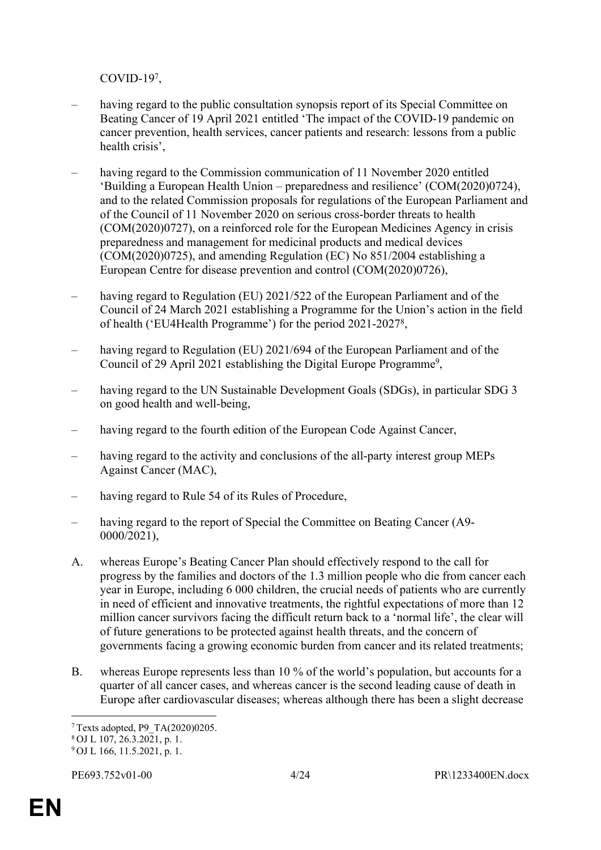COVID-19<sup>7</sup> ,

- having regard to the public consultation synopsis report of its Special Committee on Beating Cancer of 19 April 2021 entitled 'The impact of the COVID-19 pandemic on cancer prevention, health services, cancer patients and research: lessons from a public health crisis',
- having regard to the Commission communication of 11 November 2020 entitled 'Building a European Health Union – preparedness and resilience' (COM(2020)0724), and to the related Commission proposals for regulations of the European Parliament and of the Council of 11 November 2020 on serious cross-border threats to health (COM(2020)0727), on a reinforced role for the European Medicines Agency in crisis preparedness and management for medicinal products and medical devices (COM(2020)0725), and amending Regulation (EC) No 851/2004 establishing a European Centre for disease prevention and control (COM(2020)0726),
- having regard to Regulation (EU) 2021/522 of the European Parliament and of the Council of 24 March 2021 establishing a Programme for the Union's action in the field of health ('EU4Health Programme') for the period 2021-2027<sup>8</sup> ,
- having regard to Regulation (EU) 2021/694 of the European Parliament and of the Council of 29 April 2021 establishing the Digital Europe Programme<sup>9</sup>,
- having regard to the UN Sustainable Development Goals (SDGs), in particular SDG 3 on good health and well-being,
- having regard to the fourth edition of the European Code Against Cancer,
- having regard to the activity and conclusions of the all-party interest group MEPs Against Cancer (MAC),
- having regard to Rule 54 of its Rules of Procedure.
- having regard to the report of Special the Committee on Beating Cancer (A9-0000/2021),
- A. whereas Europe's Beating Cancer Plan should effectively respond to the call for progress by the families and doctors of the 1.3 million people who die from cancer each year in Europe, including 6 000 children, the crucial needs of patients who are currently in need of efficient and innovative treatments, the rightful expectations of more than 12 million cancer survivors facing the difficult return back to a 'normal life', the clear will of future generations to be protected against health threats, and the concern of governments facing a growing economic burden from cancer and its related treatments;
- B. whereas Europe represents less than 10 % of the world's population, but accounts for a quarter of all cancer cases, and whereas cancer is the second leading cause of death in Europe after cardiovascular diseases; whereas although there has been a slight decrease

<sup>7</sup>Texts adopted, P9\_TA(2020)0205.

 $8$  OJ L 107, 26.3.2021, p. 1.

<sup>9</sup> OJ L 166, 11.5.2021, p. 1.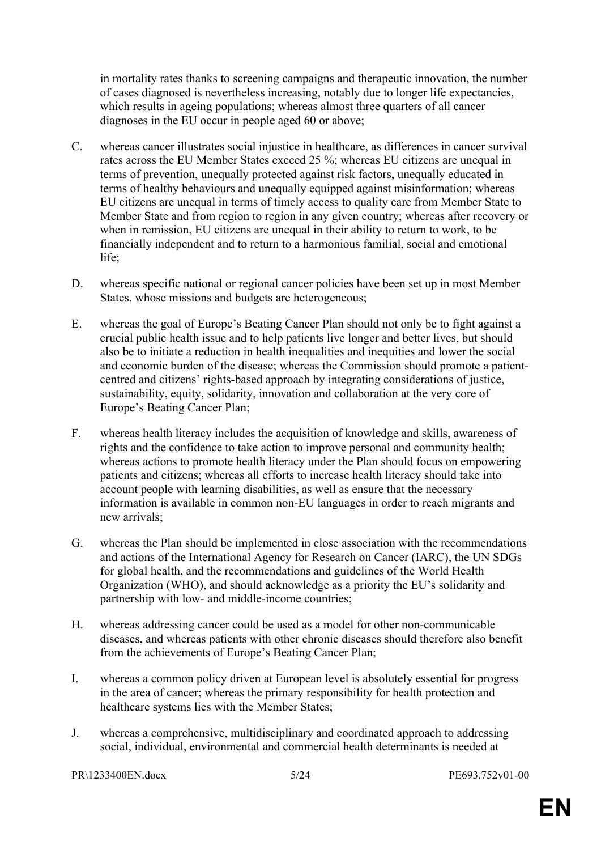in mortality rates thanks to screening campaigns and therapeutic innovation, the number of cases diagnosed is nevertheless increasing, notably due to longer life expectancies, which results in ageing populations; whereas almost three quarters of all cancer diagnoses in the EU occur in people aged 60 or above;

- C. whereas cancer illustrates social injustice in healthcare, as differences in cancer survival rates across the EU Member States exceed 25 %; whereas EU citizens are unequal in terms of prevention, unequally protected against risk factors, unequally educated in terms of healthy behaviours and unequally equipped against misinformation; whereas EU citizens are unequal in terms of timely access to quality care from Member State to Member State and from region to region in any given country; whereas after recovery or when in remission, EU citizens are unequal in their ability to return to work, to be financially independent and to return to a harmonious familial, social and emotional life;
- D. whereas specific national or regional cancer policies have been set up in most Member States, whose missions and budgets are heterogeneous;
- E. whereas the goal of Europe's Beating Cancer Plan should not only be to fight against a crucial public health issue and to help patients live longer and better lives, but should also be to initiate a reduction in health inequalities and inequities and lower the social and economic burden of the disease; whereas the Commission should promote a patientcentred and citizens' rights-based approach by integrating considerations of justice, sustainability, equity, solidarity, innovation and collaboration at the very core of Europe's Beating Cancer Plan;
- F. whereas health literacy includes the acquisition of knowledge and skills, awareness of rights and the confidence to take action to improve personal and community health; whereas actions to promote health literacy under the Plan should focus on empowering patients and citizens; whereas all efforts to increase health literacy should take into account people with learning disabilities, as well as ensure that the necessary information is available in common non-EU languages in order to reach migrants and new arrivals;
- G. whereas the Plan should be implemented in close association with the recommendations and actions of the International Agency for Research on Cancer (IARC), the UN SDGs for global health, and the recommendations and guidelines of the World Health Organization (WHO), and should acknowledge as a priority the EU's solidarity and partnership with low- and middle-income countries;
- H. whereas addressing cancer could be used as a model for other non-communicable diseases, and whereas patients with other chronic diseases should therefore also benefit from the achievements of Europe's Beating Cancer Plan;
- I. whereas a common policy driven at European level is absolutely essential for progress in the area of cancer; whereas the primary responsibility for health protection and healthcare systems lies with the Member States;
- J. whereas a comprehensive, multidisciplinary and coordinated approach to addressing social, individual, environmental and commercial health determinants is needed at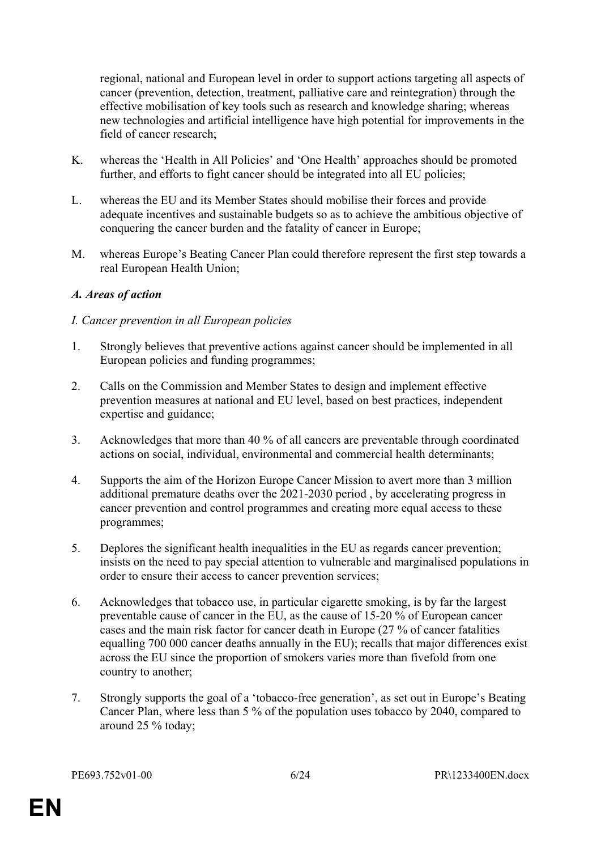regional, national and European level in order to support actions targeting all aspects of cancer (prevention, detection, treatment, palliative care and reintegration) through the effective mobilisation of key tools such as research and knowledge sharing; whereas new technologies and artificial intelligence have high potential for improvements in the field of cancer research;

- K. whereas the 'Health in All Policies' and 'One Health' approaches should be promoted further, and efforts to fight cancer should be integrated into all EU policies;
- L. whereas the EU and its Member States should mobilise their forces and provide adequate incentives and sustainable budgets so as to achieve the ambitious objective of conquering the cancer burden and the fatality of cancer in Europe;
- M. whereas Europe's Beating Cancer Plan could therefore represent the first step towards a real European Health Union;

#### *A. Areas of action*

#### *I. Cancer prevention in all European policies*

- 1. Strongly believes that preventive actions against cancer should be implemented in all European policies and funding programmes;
- 2. Calls on the Commission and Member States to design and implement effective prevention measures at national and EU level, based on best practices, independent expertise and guidance;
- 3. Acknowledges that more than 40 % of all cancers are preventable through coordinated actions on social, individual, environmental and commercial health determinants;
- 4. Supports the aim of the Horizon Europe Cancer Mission to avert more than 3 million additional premature deaths over the 2021-2030 period , by accelerating progress in cancer prevention and control programmes and creating more equal access to these programmes;
- 5. Deplores the significant health inequalities in the EU as regards cancer prevention; insists on the need to pay special attention to vulnerable and marginalised populations in order to ensure their access to cancer prevention services;
- 6. Acknowledges that tobacco use, in particular cigarette smoking, is by far the largest preventable cause of cancer in the EU, as the cause of 15-20 % of European cancer cases and the main risk factor for cancer death in Europe (27 % of cancer fatalities equalling 700 000 cancer deaths annually in the EU); recalls that major differences exist across the EU since the proportion of smokers varies more than fivefold from one country to another;
- 7. Strongly supports the goal of a 'tobacco-free generation', as set out in Europe's Beating Cancer Plan, where less than 5 % of the population uses tobacco by 2040, compared to around 25 % today;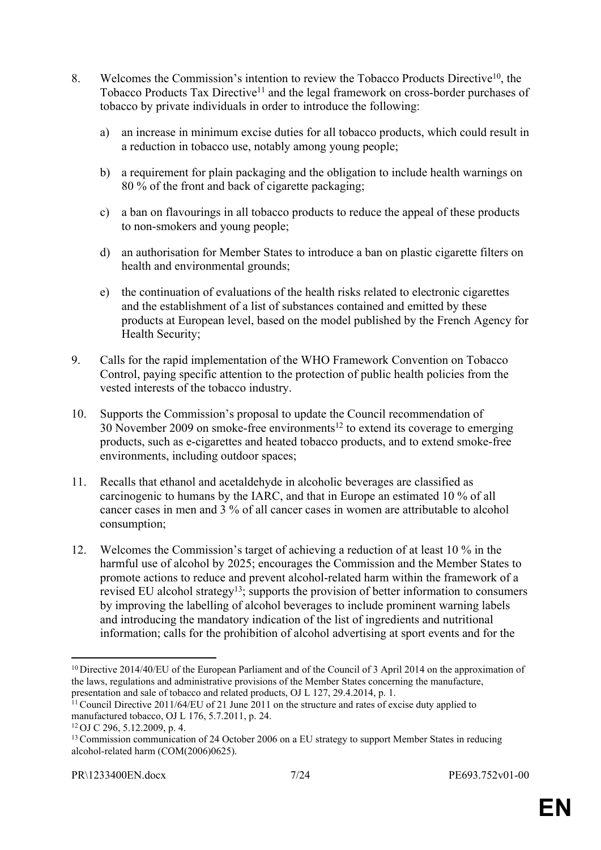- 8. Welcomes the Commission's intention to review the Tobacco Products Directive<sup>10</sup>, the Tobacco Products Tax Directive<sup>11</sup> and the legal framework on cross-border purchases of tobacco by private individuals in order to introduce the following:
	- a) an increase in minimum excise duties for all tobacco products, which could result in a reduction in tobacco use, notably among young people;
	- b) a requirement for plain packaging and the obligation to include health warnings on 80 % of the front and back of cigarette packaging;
	- c) a ban on flavourings in all tobacco products to reduce the appeal of these products to non-smokers and young people;
	- d) an authorisation for Member States to introduce a ban on plastic cigarette filters on health and environmental grounds;
	- e) the continuation of evaluations of the health risks related to electronic cigarettes and the establishment of a list of substances contained and emitted by these products at European level, based on the model published by the French Agency for Health Security;
- 9. Calls for the rapid implementation of the WHO Framework Convention on Tobacco Control, paying specific attention to the protection of public health policies from the vested interests of the tobacco industry.
- 10. Supports the Commission's proposal to update the Council recommendation of  $30$  November 2009 on smoke-free environments<sup>12</sup> to extend its coverage to emerging products, such as e-cigarettes and heated tobacco products, and to extend smoke-free environments, including outdoor spaces;
- 11. Recalls that ethanol and acetaldehyde in alcoholic beverages are classified as carcinogenic to humans by the IARC, and that in Europe an estimated 10 % of all cancer cases in men and 3 % of all cancer cases in women are attributable to alcohol consumption;
- 12. Welcomes the Commission's target of achieving a reduction of at least 10 % in the harmful use of alcohol by 2025; encourages the Commission and the Member States to promote actions to reduce and prevent alcohol-related harm within the framework of a revised EU alcohol strategy<sup>13</sup>; supports the provision of better information to consumers by improving the labelling of alcohol beverages to include prominent warning labels and introducing the mandatory indication of the list of ingredients and nutritional information; calls for the prohibition of alcohol advertising at sport events and for the

<sup>&</sup>lt;sup>10</sup> Directive 2014/40/EU of the European Parliament and of the Council of 3 April 2014 on the approximation of the laws, regulations and administrative provisions of the Member States concerning the manufacture, presentation and sale of tobacco and related products, OJ L 127, 29.4.2014, p. 1.

 $11$  Council Directive 2011/64/EU of 21 June 2011 on the structure and rates of excise duty applied to manufactured tobacco, OJ L 176, 5.7.2011, p. 24.

<sup>12</sup>OJ C 296, 5.12.2009, p. 4.

<sup>&</sup>lt;sup>13</sup> Commission communication of 24 October 2006 on a EU strategy to support Member States in reducing alcohol-related harm (COM(2006)0625).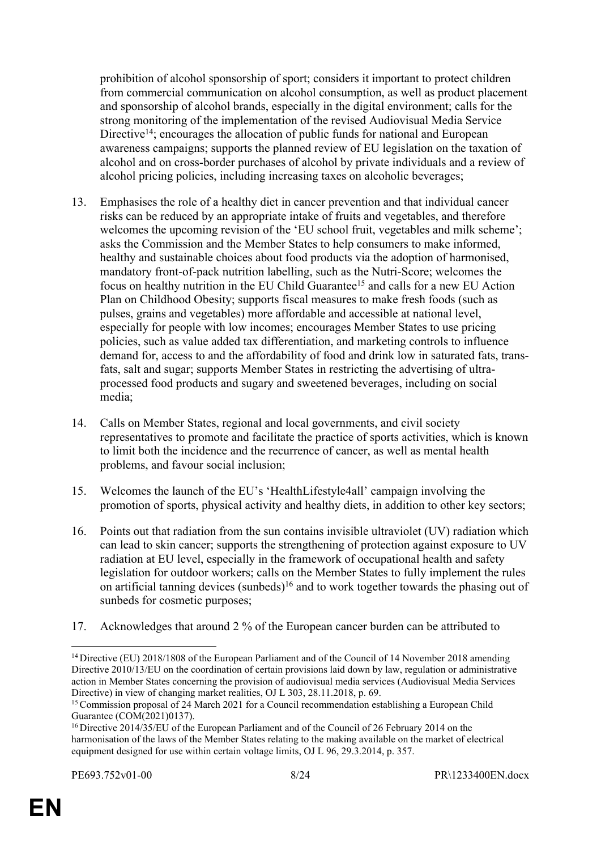prohibition of alcohol sponsorship of sport; considers it important to protect children from commercial communication on alcohol consumption, as well as product placement and sponsorship of alcohol brands, especially in the digital environment; calls for the strong monitoring of the implementation of the revised Audiovisual Media Service Directive<sup>14</sup>; encourages the allocation of public funds for national and European awareness campaigns; supports the planned review of EU legislation on the taxation of alcohol and on cross-border purchases of alcohol by private individuals and a review of alcohol pricing policies, including increasing taxes on alcoholic beverages;

- 13. Emphasises the role of a healthy diet in cancer prevention and that individual cancer risks can be reduced by an appropriate intake of fruits and vegetables, and therefore welcomes the upcoming revision of the 'EU school fruit, vegetables and milk scheme'; asks the Commission and the Member States to help consumers to make informed, healthy and sustainable choices about food products via the adoption of harmonised, mandatory front-of-pack nutrition labelling, such as the Nutri-Score; welcomes the focus on healthy nutrition in the EU Child Guarantee<sup>15</sup> and calls for a new EU Action Plan on Childhood Obesity; supports fiscal measures to make fresh foods (such as pulses, grains and vegetables) more affordable and accessible at national level, especially for people with low incomes; encourages Member States to use pricing policies, such as value added tax differentiation, and marketing controls to influence demand for, access to and the affordability of food and drink low in saturated fats, transfats, salt and sugar; supports Member States in restricting the advertising of ultraprocessed food products and sugary and sweetened beverages, including on social media;
- 14. Calls on Member States, regional and local governments, and civil society representatives to promote and facilitate the practice of sports activities, which is known to limit both the incidence and the recurrence of cancer, as well as mental health problems, and favour social inclusion;
- 15. Welcomes the launch of the EU's 'HealthLifestyle4all' campaign involving the promotion of sports, physical activity and healthy diets, in addition to other key sectors;
- 16. Points out that radiation from the sun contains invisible ultraviolet (UV) radiation which can lead to skin cancer; supports the strengthening of protection against exposure to UV radiation at EU level, especially in the framework of occupational health and safety legislation for outdoor workers; calls on the Member States to fully implement the rules on artificial tanning devices (sunbeds)<sup>16</sup> and to work together towards the phasing out of sunbeds for cosmetic purposes;
- 17. Acknowledges that around 2 % of the European cancer burden can be attributed to

<sup>&</sup>lt;sup>14</sup> Directive (EU) 2018/1808 of the European Parliament and of the Council of 14 November 2018 amending Directive 2010/13/EU on the coordination of certain provisions laid down by law, regulation or administrative action in Member States concerning the provision of audiovisual media services (Audiovisual Media Services Directive) in view of changing market realities, OJ L 303, 28.11.2018, p. 69.

<sup>&</sup>lt;sup>15</sup> Commission proposal of 24 March 2021 for a Council recommendation establishing a European Child Guarantee (COM(2021)0137).

<sup>&</sup>lt;sup>16</sup> Directive 2014/35/EU of the European Parliament and of the Council of 26 February 2014 on the harmonisation of the laws of the Member States relating to the making available on the market of electrical equipment designed for use within certain voltage limits, OJ L 96, 29.3.2014, p. 357.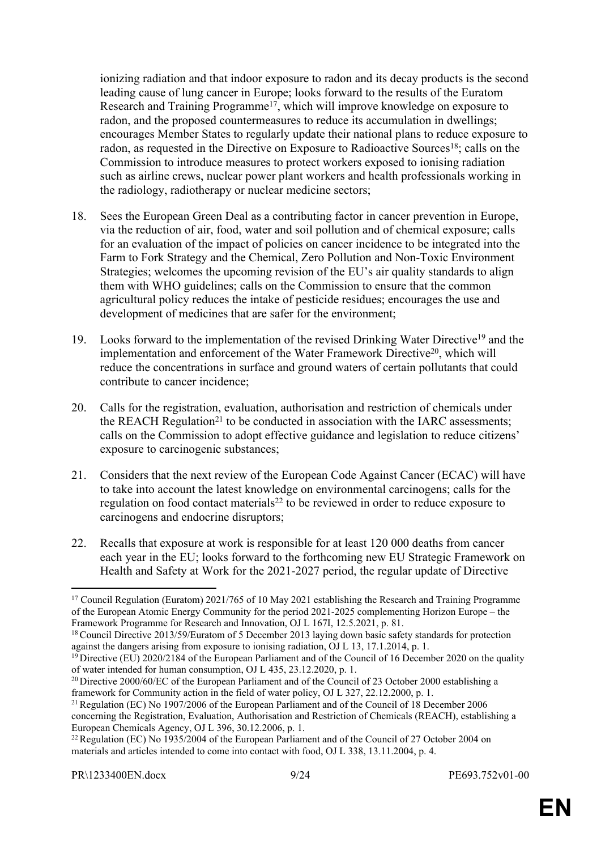ionizing radiation and that indoor exposure to radon and its decay products is the second leading cause of lung cancer in Europe; looks forward to the results of the Euratom Research and Training Programme<sup>17</sup>, which will improve knowledge on exposure to radon, and the proposed countermeasures to reduce its accumulation in dwellings; encourages Member States to regularly update their national plans to reduce exposure to radon, as requested in the Directive on Exposure to Radioactive Sources<sup>18</sup>; calls on the Commission to introduce measures to protect workers exposed to ionising radiation such as airline crews, nuclear power plant workers and health professionals working in the radiology, radiotherapy or nuclear medicine sectors;

- 18. Sees the European Green Deal as a contributing factor in cancer prevention in Europe, via the reduction of air, food, water and soil pollution and of chemical exposure; calls for an evaluation of the impact of policies on cancer incidence to be integrated into the Farm to Fork Strategy and the Chemical, Zero Pollution and Non-Toxic Environment Strategies; welcomes the upcoming revision of the EU's air quality standards to align them with WHO guidelines; calls on the Commission to ensure that the common agricultural policy reduces the intake of pesticide residues; encourages the use and development of medicines that are safer for the environment;
- 19. Looks forward to the implementation of the revised Drinking Water Directive<sup>19</sup> and the implementation and enforcement of the Water Framework Directive<sup>20</sup>, which will reduce the concentrations in surface and ground waters of certain pollutants that could contribute to cancer incidence;
- 20. Calls for the registration, evaluation, authorisation and restriction of chemicals under the REACH Regulation<sup>21</sup> to be conducted in association with the IARC assessments; calls on the Commission to adopt effective guidance and legislation to reduce citizens' exposure to carcinogenic substances;
- 21. Considers that the next review of the European Code Against Cancer (ECAC) will have to take into account the latest knowledge on environmental carcinogens; calls for the regulation on food contact materials<sup>22</sup> to be reviewed in order to reduce exposure to carcinogens and endocrine disruptors;
- 22. Recalls that exposure at work is responsible for at least 120 000 deaths from cancer each year in the EU; looks forward to the forthcoming new EU Strategic Framework on Health and Safety at Work for the 2021-2027 period, the regular update of Directive

<sup>&</sup>lt;sup>17</sup> Council Regulation (Euratom) 2021/765 of 10 May 2021 establishing the Research and Training Programme of the European Atomic Energy Community for the period 2021-2025 complementing Horizon Europe – the Framework Programme for Research and Innovation, OJ L 167I, 12.5.2021, p. 81.

<sup>&</sup>lt;sup>18</sup> Council Directive 2013/59/Euratom of 5 December 2013 laying down basic safety standards for protection against the dangers arising from exposure to ionising radiation, OJ L 13, 17.1.2014, p. 1.

<sup>&</sup>lt;sup>19</sup> Directive (EU) 2020/2184 of the European Parliament and of the Council of 16 December 2020 on the quality of water intended for human consumption, OJ L 435, 23.12.2020, p. 1.

<sup>&</sup>lt;sup>20</sup> Directive 2000/60/EC of the European Parliament and of the Council of 23 October 2000 establishing a framework for Community action in the field of water policy, OJ L 327, 22.12.2000, p. 1.

<sup>21</sup>Regulation (EC) No 1907/2006 of the European Parliament and of the Council of 18 December 2006 concerning the Registration, Evaluation, Authorisation and Restriction of Chemicals (REACH), establishing a European Chemicals Agency, OJ L 396, 30.12.2006, p. 1.

<sup>&</sup>lt;sup>22</sup> Regulation (EC) No 1935/2004 of the European Parliament and of the Council of 27 October 2004 on materials and articles intended to come into contact with food, OJ L 338, 13.11.2004, p. 4.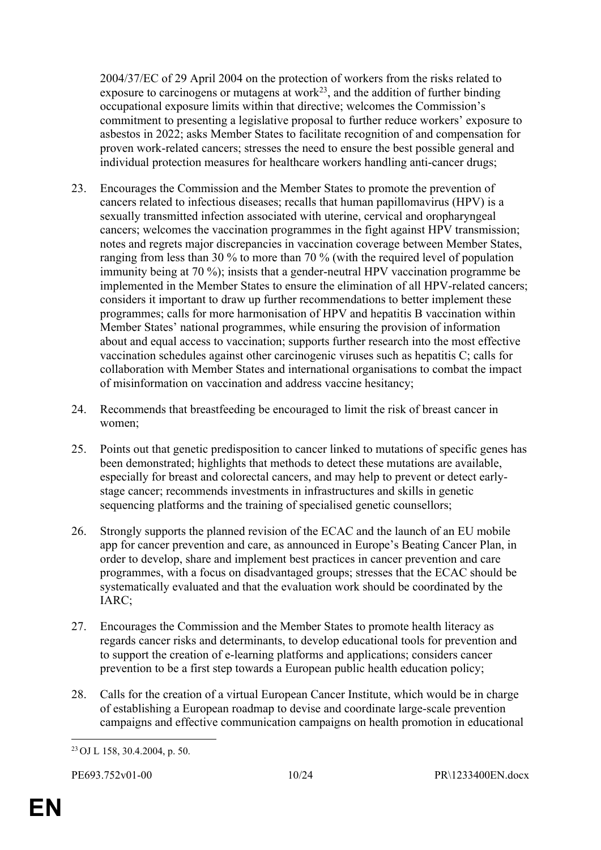2004/37/EC of 29 April 2004 on the protection of workers from the risks related to exposure to carcinogens or mutagens at work<sup>23</sup>, and the addition of further binding occupational exposure limits within that directive; welcomes the Commission's commitment to presenting a legislative proposal to further reduce workers' exposure to asbestos in 2022; asks Member States to facilitate recognition of and compensation for proven work-related cancers; stresses the need to ensure the best possible general and individual protection measures for healthcare workers handling anti-cancer drugs;

- 23. Encourages the Commission and the Member States to promote the prevention of cancers related to infectious diseases; recalls that human papillomavirus (HPV) is a sexually transmitted infection associated with uterine, cervical and oropharyngeal cancers; welcomes the vaccination programmes in the fight against HPV transmission; notes and regrets major discrepancies in vaccination coverage between Member States, ranging from less than 30 % to more than 70 % (with the required level of population immunity being at 70 %); insists that a gender-neutral HPV vaccination programme be implemented in the Member States to ensure the elimination of all HPV-related cancers; considers it important to draw up further recommendations to better implement these programmes; calls for more harmonisation of HPV and hepatitis B vaccination within Member States' national programmes, while ensuring the provision of information about and equal access to vaccination; supports further research into the most effective vaccination schedules against other carcinogenic viruses such as hepatitis C; calls for collaboration with Member States and international organisations to combat the impact of misinformation on vaccination and address vaccine hesitancy;
- 24. Recommends that breastfeeding be encouraged to limit the risk of breast cancer in women;
- 25. Points out that genetic predisposition to cancer linked to mutations of specific genes has been demonstrated; highlights that methods to detect these mutations are available, especially for breast and colorectal cancers, and may help to prevent or detect earlystage cancer; recommends investments in infrastructures and skills in genetic sequencing platforms and the training of specialised genetic counsellors;
- 26. Strongly supports the planned revision of the ECAC and the launch of an EU mobile app for cancer prevention and care, as announced in Europe's Beating Cancer Plan, in order to develop, share and implement best practices in cancer prevention and care programmes, with a focus on disadvantaged groups; stresses that the ECAC should be systematically evaluated and that the evaluation work should be coordinated by the IARC;
- 27. Encourages the Commission and the Member States to promote health literacy as regards cancer risks and determinants, to develop educational tools for prevention and to support the creation of e-learning platforms and applications; considers cancer prevention to be a first step towards a European public health education policy;
- 28. Calls for the creation of a virtual European Cancer Institute, which would be in charge of establishing a European roadmap to devise and coordinate large-scale prevention campaigns and effective communication campaigns on health promotion in educational

<sup>23</sup> OJ L 158, 30.4.2004, p. 50.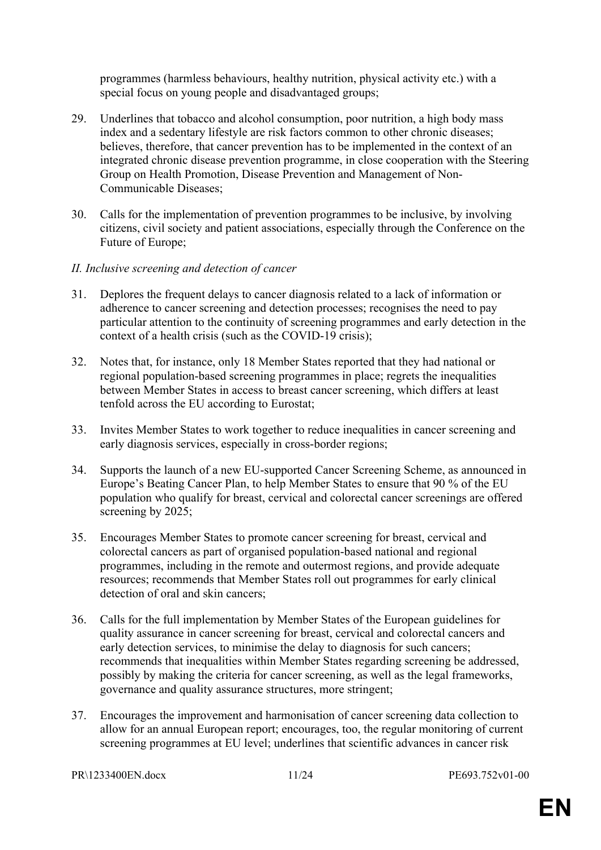programmes (harmless behaviours, healthy nutrition, physical activity etc.) with a special focus on young people and disadvantaged groups;

- 29. Underlines that tobacco and alcohol consumption, poor nutrition, a high body mass index and a sedentary lifestyle are risk factors common to other chronic diseases; believes, therefore, that cancer prevention has to be implemented in the context of an integrated chronic disease prevention programme, in close cooperation with the Steering Group on Health Promotion, Disease Prevention and Management of Non-Communicable Diseases;
- 30. Calls for the implementation of prevention programmes to be inclusive, by involving citizens, civil society and patient associations, especially through the Conference on the Future of Europe;
- *II. Inclusive screening and detection of cancer*
- 31. Deplores the frequent delays to cancer diagnosis related to a lack of information or adherence to cancer screening and detection processes; recognises the need to pay particular attention to the continuity of screening programmes and early detection in the context of a health crisis (such as the COVID-19 crisis);
- 32. Notes that, for instance, only 18 Member States reported that they had national or regional population-based screening programmes in place; regrets the inequalities between Member States in access to breast cancer screening, which differs at least tenfold across the EU according to Eurostat;
- 33. Invites Member States to work together to reduce inequalities in cancer screening and early diagnosis services, especially in cross-border regions;
- 34. Supports the launch of a new EU-supported Cancer Screening Scheme, as announced in Europe's Beating Cancer Plan, to help Member States to ensure that 90 % of the EU population who qualify for breast, cervical and colorectal cancer screenings are offered screening by 2025;
- 35. Encourages Member States to promote cancer screening for breast, cervical and colorectal cancers as part of organised population-based national and regional programmes, including in the remote and outermost regions, and provide adequate resources; recommends that Member States roll out programmes for early clinical detection of oral and skin cancers;
- 36. Calls for the full implementation by Member States of the European guidelines for quality assurance in cancer screening for breast, cervical and colorectal cancers and early detection services, to minimise the delay to diagnosis for such cancers; recommends that inequalities within Member States regarding screening be addressed, possibly by making the criteria for cancer screening, as well as the legal frameworks, governance and quality assurance structures, more stringent;
- 37. Encourages the improvement and harmonisation of cancer screening data collection to allow for an annual European report; encourages, too, the regular monitoring of current screening programmes at EU level; underlines that scientific advances in cancer risk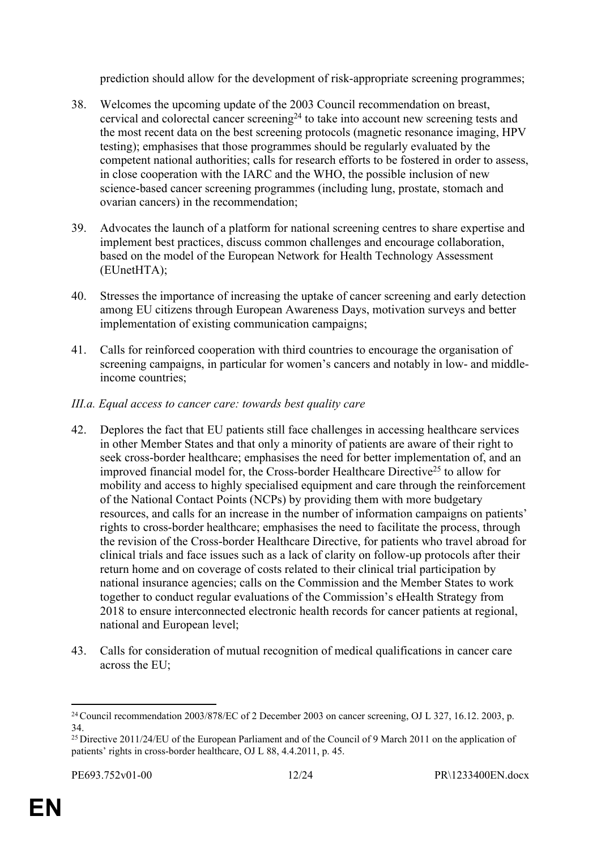prediction should allow for the development of risk-appropriate screening programmes;

- 38. Welcomes the upcoming update of the 2003 Council recommendation on breast, cervical and colorectal cancer screening<sup>24</sup> to take into account new screening tests and the most recent data on the best screening protocols (magnetic resonance imaging, HPV testing); emphasises that those programmes should be regularly evaluated by the competent national authorities; calls for research efforts to be fostered in order to assess, in close cooperation with the IARC and the WHO, the possible inclusion of new science-based cancer screening programmes (including lung, prostate, stomach and ovarian cancers) in the recommendation;
- 39. Advocates the launch of a platform for national screening centres to share expertise and implement best practices, discuss common challenges and encourage collaboration, based on the model of the European Network for Health Technology Assessment (EUnetHTA);
- 40. Stresses the importance of increasing the uptake of cancer screening and early detection among EU citizens through European Awareness Days, motivation surveys and better implementation of existing communication campaigns;
- 41. Calls for reinforced cooperation with third countries to encourage the organisation of screening campaigns, in particular for women's cancers and notably in low- and middleincome countries;

#### *III.a. Equal access to cancer care: towards best quality care*

- 42. Deplores the fact that EU patients still face challenges in accessing healthcare services in other Member States and that only a minority of patients are aware of their right to seek cross-border healthcare; emphasises the need for better implementation of, and an improved financial model for, the Cross-border Healthcare Directive<sup>25</sup> to allow for mobility and access to highly specialised equipment and care through the reinforcement of the National Contact Points (NCPs) by providing them with more budgetary resources, and calls for an increase in the number of information campaigns on patients' rights to cross-border healthcare; emphasises the need to facilitate the process, through the revision of the Cross-border Healthcare Directive, for patients who travel abroad for clinical trials and face issues such as a lack of clarity on follow-up protocols after their return home and on coverage of costs related to their clinical trial participation by national insurance agencies; calls on the Commission and the Member States to work together to conduct regular evaluations of the Commission's eHealth Strategy from 2018 to ensure interconnected electronic health records for cancer patients at regional, national and European level;
- 43. Calls for consideration of mutual recognition of medical qualifications in cancer care across the EU;

<sup>24</sup>Council recommendation 2003/878/EC of 2 December 2003 on cancer screening, OJ L 327, 16.12. 2003, p. 34.

<sup>&</sup>lt;sup>25</sup> Directive 2011/24/EU of the European Parliament and of the Council of 9 March 2011 on the application of patients' rights in cross-border healthcare, OJ L 88, 4.4.2011, p. 45.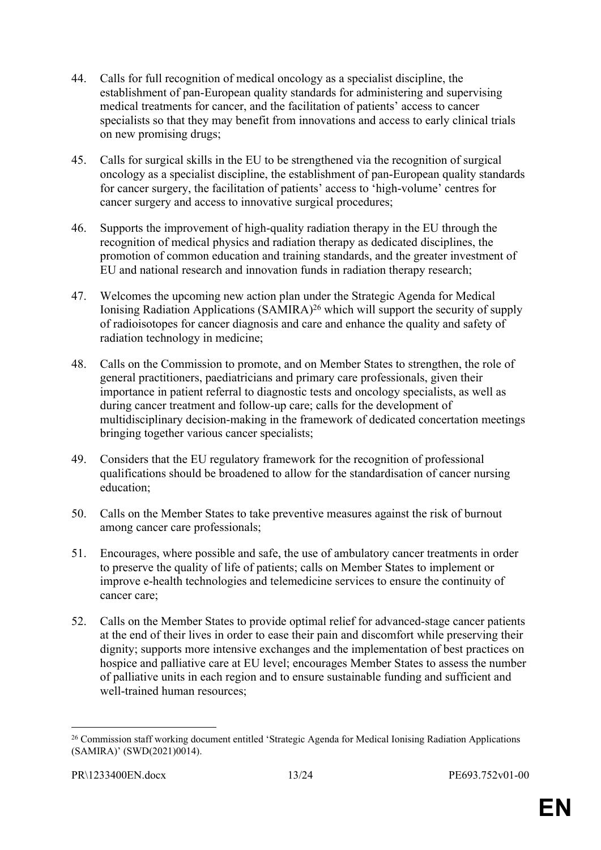- 44. Calls for full recognition of medical oncology as a specialist discipline, the establishment of pan-European quality standards for administering and supervising medical treatments for cancer, and the facilitation of patients' access to cancer specialists so that they may benefit from innovations and access to early clinical trials on new promising drugs;
- 45. Calls for surgical skills in the EU to be strengthened via the recognition of surgical oncology as a specialist discipline, the establishment of pan-European quality standards for cancer surgery, the facilitation of patients' access to 'high-volume' centres for cancer surgery and access to innovative surgical procedures;
- 46. Supports the improvement of high-quality radiation therapy in the EU through the recognition of medical physics and radiation therapy as dedicated disciplines, the promotion of common education and training standards, and the greater investment of EU and national research and innovation funds in radiation therapy research;
- 47. Welcomes the upcoming new action plan under the Strategic Agenda for Medical Ionising Radiation Applications (SAMIRA)<sup>26</sup> which will support the security of supply of radioisotopes for cancer diagnosis and care and enhance the quality and safety of radiation technology in medicine;
- 48. Calls on the Commission to promote, and on Member States to strengthen, the role of general practitioners, paediatricians and primary care professionals, given their importance in patient referral to diagnostic tests and oncology specialists, as well as during cancer treatment and follow-up care; calls for the development of multidisciplinary decision-making in the framework of dedicated concertation meetings bringing together various cancer specialists;
- 49. Considers that the EU regulatory framework for the recognition of professional qualifications should be broadened to allow for the standardisation of cancer nursing education;
- 50. Calls on the Member States to take preventive measures against the risk of burnout among cancer care professionals;
- 51. Encourages, where possible and safe, the use of ambulatory cancer treatments in order to preserve the quality of life of patients; calls on Member States to implement or improve e-health technologies and telemedicine services to ensure the continuity of cancer care;
- 52. Calls on the Member States to provide optimal relief for advanced-stage cancer patients at the end of their lives in order to ease their pain and discomfort while preserving their dignity; supports more intensive exchanges and the implementation of best practices on hospice and palliative care at EU level; encourages Member States to assess the number of palliative units in each region and to ensure sustainable funding and sufficient and well-trained human resources;

<sup>&</sup>lt;sup>26</sup> Commission staff working document entitled 'Strategic Agenda for Medical Ionising Radiation Applications (SAMIRA)' (SWD(2021)0014).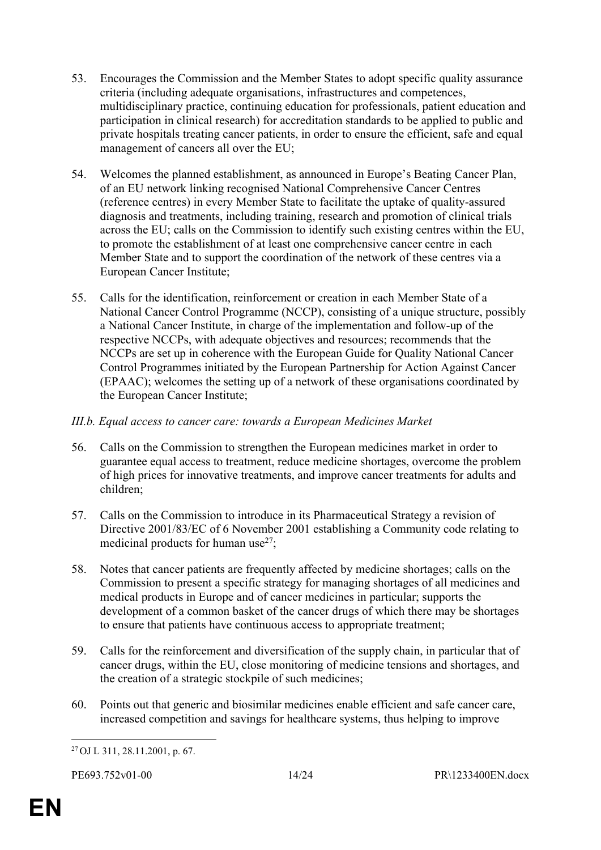- 53. Encourages the Commission and the Member States to adopt specific quality assurance criteria (including adequate organisations, infrastructures and competences, multidisciplinary practice, continuing education for professionals, patient education and participation in clinical research) for accreditation standards to be applied to public and private hospitals treating cancer patients, in order to ensure the efficient, safe and equal management of cancers all over the EU;
- 54. Welcomes the planned establishment, as announced in Europe's Beating Cancer Plan, of an EU network linking recognised National Comprehensive Cancer Centres (reference centres) in every Member State to facilitate the uptake of quality-assured diagnosis and treatments, including training, research and promotion of clinical trials across the EU; calls on the Commission to identify such existing centres within the EU, to promote the establishment of at least one comprehensive cancer centre in each Member State and to support the coordination of the network of these centres via a European Cancer Institute;
- 55. Calls for the identification, reinforcement or creation in each Member State of a National Cancer Control Programme (NCCP), consisting of a unique structure, possibly a National Cancer Institute, in charge of the implementation and follow-up of the respective NCCPs, with adequate objectives and resources; recommends that the NCCPs are set up in coherence with the European Guide for Quality National Cancer Control Programmes initiated by the European Partnership for Action Against Cancer (EPAAC); welcomes the setting up of a network of these organisations coordinated by the European Cancer Institute;

#### *III.b. Equal access to cancer care: towards a European Medicines Market*

- 56. Calls on the Commission to strengthen the European medicines market in order to guarantee equal access to treatment, reduce medicine shortages, overcome the problem of high prices for innovative treatments, and improve cancer treatments for adults and children;
- 57. Calls on the Commission to introduce in its Pharmaceutical Strategy a revision of Directive 2001/83/EC of 6 November 2001 establishing a Community code relating to medicinal products for human use $^{27}$ ;
- 58. Notes that cancer patients are frequently affected by medicine shortages; calls on the Commission to present a specific strategy for managing shortages of all medicines and medical products in Europe and of cancer medicines in particular; supports the development of a common basket of the cancer drugs of which there may be shortages to ensure that patients have continuous access to appropriate treatment;
- 59. Calls for the reinforcement and diversification of the supply chain, in particular that of cancer drugs, within the EU, close monitoring of medicine tensions and shortages, and the creation of a strategic stockpile of such medicines;
- 60. Points out that generic and biosimilar medicines enable efficient and safe cancer care, increased competition and savings for healthcare systems, thus helping to improve

<sup>27</sup> OJ L 311, 28.11.2001, p. 67.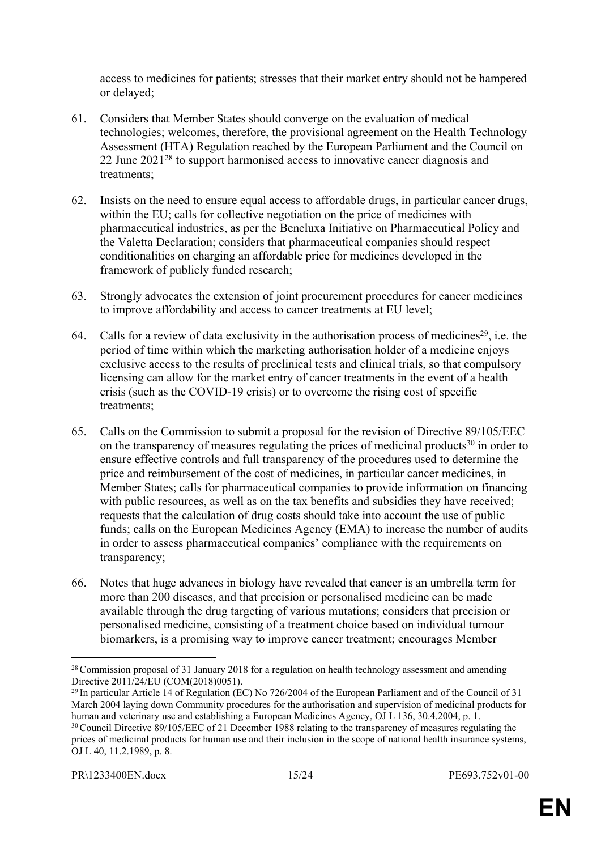access to medicines for patients; stresses that their market entry should not be hampered or delayed;

- 61. Considers that Member States should converge on the evaluation of medical technologies; welcomes, therefore, the provisional agreement on the Health Technology Assessment (HTA) Regulation reached by the European Parliament and the Council on 22 June 2021<sup>28</sup> to support harmonised access to innovative cancer diagnosis and treatments;
- 62. Insists on the need to ensure equal access to affordable drugs, in particular cancer drugs, within the EU; calls for collective negotiation on the price of medicines with pharmaceutical industries, as per the Beneluxa Initiative on Pharmaceutical Policy and the Valetta Declaration; considers that pharmaceutical companies should respect conditionalities on charging an affordable price for medicines developed in the framework of publicly funded research;
- 63. Strongly advocates the extension of joint procurement procedures for cancer medicines to improve affordability and access to cancer treatments at EU level;
- 64. Calls for a review of data exclusivity in the authorisation process of medicines<sup>29</sup>, i.e. the period of time within which the marketing authorisation holder of a medicine enjoys exclusive access to the results of preclinical tests and clinical trials, so that compulsory licensing can allow for the market entry of cancer treatments in the event of a health crisis (such as the COVID-19 crisis) or to overcome the rising cost of specific treatments;
- 65. Calls on the Commission to submit a proposal for the revision of Directive 89/105/EEC on the transparency of measures regulating the prices of medicinal products<sup>30</sup> in order to ensure effective controls and full transparency of the procedures used to determine the price and reimbursement of the cost of medicines, in particular cancer medicines, in Member States; calls for pharmaceutical companies to provide information on financing with public resources, as well as on the tax benefits and subsidies they have received; requests that the calculation of drug costs should take into account the use of public funds; calls on the European Medicines Agency (EMA) to increase the number of audits in order to assess pharmaceutical companies' compliance with the requirements on transparency;
- 66. Notes that huge advances in biology have revealed that cancer is an umbrella term for more than 200 diseases, and that precision or personalised medicine can be made available through the drug targeting of various mutations; considers that precision or personalised medicine, consisting of a treatment choice based on individual tumour biomarkers, is a promising way to improve cancer treatment; encourages Member

OJ L 40, 11.2.1989, p. 8.

<sup>&</sup>lt;sup>28</sup> Commission proposal of 31 January 2018 for a regulation on health technology assessment and amending Directive 2011/24/EU (COM(2018)0051).

<sup>&</sup>lt;sup>29</sup> In particular Article 14 of Regulation (EC) No 726/2004 of the European Parliament and of the Council of 31 March 2004 laying down Community procedures for the authorisation and supervision of medicinal products for human and veterinary use and establishing a European Medicines Agency, OJ L 136, 30.4.2004, p. 1. <sup>30</sup>Council Directive 89/105/EEC of 21 December 1988 relating to the transparency of measures regulating the prices of medicinal products for human use and their inclusion in the scope of national health insurance systems,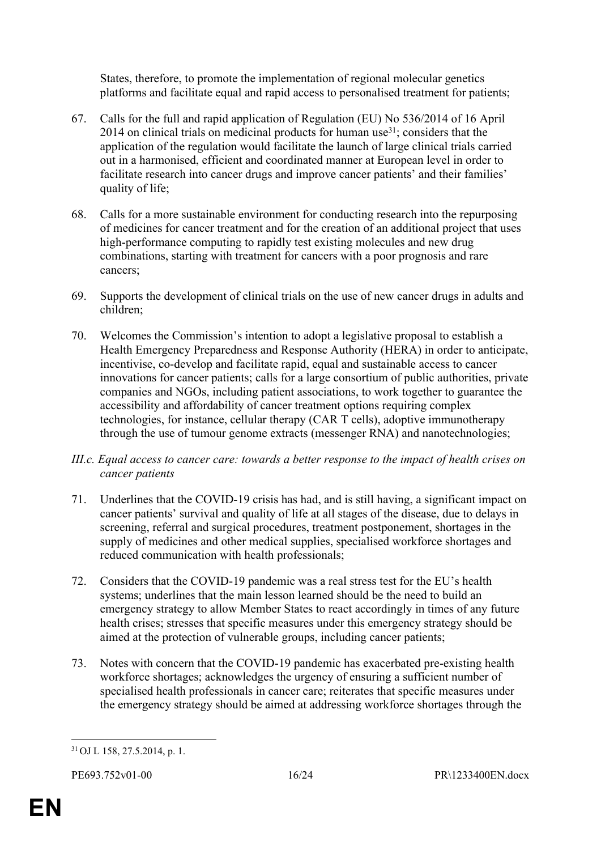States, therefore, to promote the implementation of regional molecular genetics platforms and facilitate equal and rapid access to personalised treatment for patients;

- 67. Calls for the full and rapid application of Regulation (EU) No 536/2014 of 16 April 2014 on clinical trials on medicinal products for human use<sup>31</sup>; considers that the application of the regulation would facilitate the launch of large clinical trials carried out in a harmonised, efficient and coordinated manner at European level in order to facilitate research into cancer drugs and improve cancer patients' and their families' quality of life;
- 68. Calls for a more sustainable environment for conducting research into the repurposing of medicines for cancer treatment and for the creation of an additional project that uses high-performance computing to rapidly test existing molecules and new drug combinations, starting with treatment for cancers with a poor prognosis and rare cancers;
- 69. Supports the development of clinical trials on the use of new cancer drugs in adults and children;
- 70. Welcomes the Commission's intention to adopt a legislative proposal to establish a Health Emergency Preparedness and Response Authority (HERA) in order to anticipate, incentivise, co-develop and facilitate rapid, equal and sustainable access to cancer innovations for cancer patients; calls for a large consortium of public authorities, private companies and NGOs, including patient associations, to work together to guarantee the accessibility and affordability of cancer treatment options requiring complex technologies, for instance, cellular therapy (CAR T cells), adoptive immunotherapy through the use of tumour genome extracts (messenger RNA) and nanotechnologies;
- *III.c. Equal access to cancer care: towards a better response to the impact of health crises on cancer patients*
- 71. Underlines that the COVID-19 crisis has had, and is still having, a significant impact on cancer patients' survival and quality of life at all stages of the disease, due to delays in screening, referral and surgical procedures, treatment postponement, shortages in the supply of medicines and other medical supplies, specialised workforce shortages and reduced communication with health professionals;
- 72. Considers that the COVID-19 pandemic was a real stress test for the EU's health systems; underlines that the main lesson learned should be the need to build an emergency strategy to allow Member States to react accordingly in times of any future health crises; stresses that specific measures under this emergency strategy should be aimed at the protection of vulnerable groups, including cancer patients;
- 73. Notes with concern that the COVID-19 pandemic has exacerbated pre-existing health workforce shortages; acknowledges the urgency of ensuring a sufficient number of specialised health professionals in cancer care; reiterates that specific measures under the emergency strategy should be aimed at addressing workforce shortages through the

<sup>31</sup> OJ L 158, 27.5.2014, p. 1.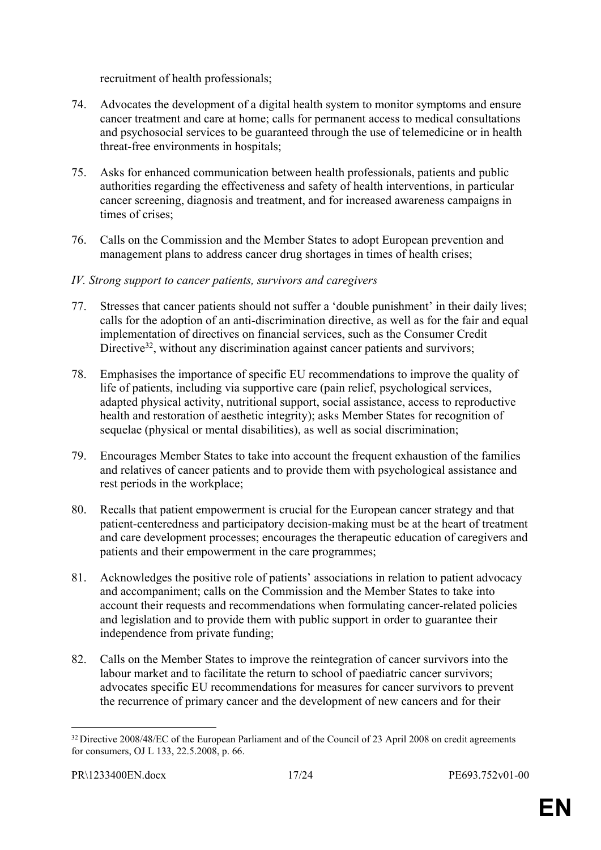recruitment of health professionals;

- 74. Advocates the development of a digital health system to monitor symptoms and ensure cancer treatment and care at home; calls for permanent access to medical consultations and psychosocial services to be guaranteed through the use of telemedicine or in health threat-free environments in hospitals;
- 75. Asks for enhanced communication between health professionals, patients and public authorities regarding the effectiveness and safety of health interventions, in particular cancer screening, diagnosis and treatment, and for increased awareness campaigns in times of crises;
- 76. Calls on the Commission and the Member States to adopt European prevention and management plans to address cancer drug shortages in times of health crises;
- *IV. Strong support to cancer patients, survivors and caregivers*
- 77. Stresses that cancer patients should not suffer a 'double punishment' in their daily lives; calls for the adoption of an anti-discrimination directive, as well as for the fair and equal implementation of directives on financial services, such as the Consumer Credit Directive<sup>32</sup>, without any discrimination against cancer patients and survivors;
- 78. Emphasises the importance of specific EU recommendations to improve the quality of life of patients, including via supportive care (pain relief, psychological services, adapted physical activity, nutritional support, social assistance, access to reproductive health and restoration of aesthetic integrity); asks Member States for recognition of sequelae (physical or mental disabilities), as well as social discrimination;
- 79. Encourages Member States to take into account the frequent exhaustion of the families and relatives of cancer patients and to provide them with psychological assistance and rest periods in the workplace;
- 80. Recalls that patient empowerment is crucial for the European cancer strategy and that patient-centeredness and participatory decision-making must be at the heart of treatment and care development processes; encourages the therapeutic education of caregivers and patients and their empowerment in the care programmes;
- 81. Acknowledges the positive role of patients' associations in relation to patient advocacy and accompaniment; calls on the Commission and the Member States to take into account their requests and recommendations when formulating cancer-related policies and legislation and to provide them with public support in order to guarantee their independence from private funding;
- 82. Calls on the Member States to improve the reintegration of cancer survivors into the labour market and to facilitate the return to school of paediatric cancer survivors; advocates specific EU recommendations for measures for cancer survivors to prevent the recurrence of primary cancer and the development of new cancers and for their

<sup>&</sup>lt;sup>32</sup> Directive 2008/48/EC of the European Parliament and of the Council of 23 April 2008 on credit agreements for consumers, OJ L 133, 22.5.2008, p. 66.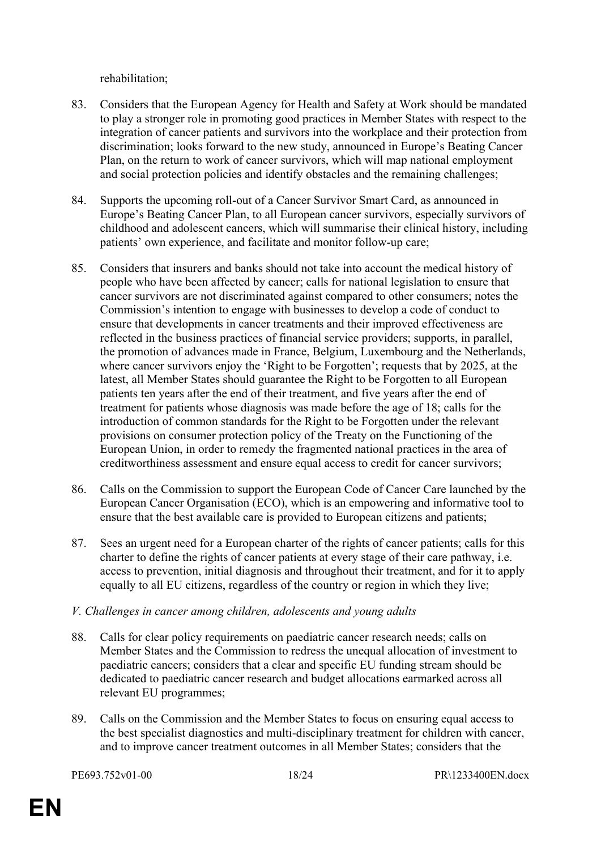rehabilitation;

- 83. Considers that the European Agency for Health and Safety at Work should be mandated to play a stronger role in promoting good practices in Member States with respect to the integration of cancer patients and survivors into the workplace and their protection from discrimination; looks forward to the new study, announced in Europe's Beating Cancer Plan, on the return to work of cancer survivors, which will map national employment and social protection policies and identify obstacles and the remaining challenges;
- 84. Supports the upcoming roll-out of a Cancer Survivor Smart Card, as announced in Europe's Beating Cancer Plan, to all European cancer survivors, especially survivors of childhood and adolescent cancers, which will summarise their clinical history, including patients' own experience, and facilitate and monitor follow-up care;
- 85. Considers that insurers and banks should not take into account the medical history of people who have been affected by cancer; calls for national legislation to ensure that cancer survivors are not discriminated against compared to other consumers; notes the Commission's intention to engage with businesses to develop a code of conduct to ensure that developments in cancer treatments and their improved effectiveness are reflected in the business practices of financial service providers; supports, in parallel, the promotion of advances made in France, Belgium, Luxembourg and the Netherlands, where cancer survivors enjoy the 'Right to be Forgotten'; requests that by 2025, at the latest, all Member States should guarantee the Right to be Forgotten to all European patients ten years after the end of their treatment, and five years after the end of treatment for patients whose diagnosis was made before the age of 18; calls for the introduction of common standards for the Right to be Forgotten under the relevant provisions on consumer protection policy of the Treaty on the Functioning of the European Union, in order to remedy the fragmented national practices in the area of creditworthiness assessment and ensure equal access to credit for cancer survivors;
- 86. Calls on the Commission to support the European Code of Cancer Care launched by the European Cancer Organisation (ECO), which is an empowering and informative tool to ensure that the best available care is provided to European citizens and patients;
- 87. Sees an urgent need for a European charter of the rights of cancer patients; calls for this charter to define the rights of cancer patients at every stage of their care pathway, i.e. access to prevention, initial diagnosis and throughout their treatment, and for it to apply equally to all EU citizens, regardless of the country or region in which they live;
- *V. Challenges in cancer among children, adolescents and young adults*
- 88. Calls for clear policy requirements on paediatric cancer research needs; calls on Member States and the Commission to redress the unequal allocation of investment to paediatric cancers; considers that a clear and specific EU funding stream should be dedicated to paediatric cancer research and budget allocations earmarked across all relevant EU programmes;
- 89. Calls on the Commission and the Member States to focus on ensuring equal access to the best specialist diagnostics and multi-disciplinary treatment for children with cancer, and to improve cancer treatment outcomes in all Member States; considers that the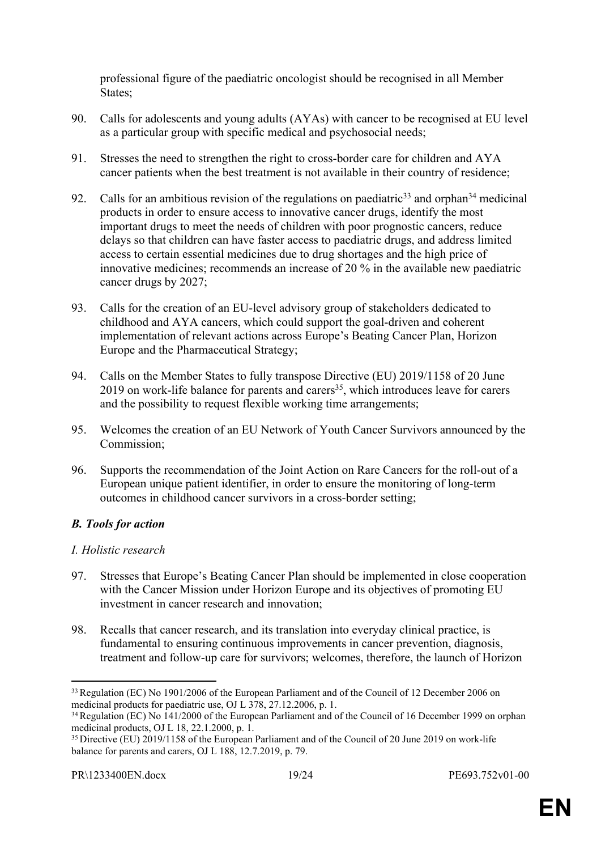professional figure of the paediatric oncologist should be recognised in all Member States;

- 90. Calls for adolescents and young adults (AYAs) with cancer to be recognised at EU level as a particular group with specific medical and psychosocial needs;
- 91. Stresses the need to strengthen the right to cross-border care for children and AYA cancer patients when the best treatment is not available in their country of residence;
- 92. Calls for an ambitious revision of the regulations on paediatric<sup>33</sup> and orphan<sup>34</sup> medicinal products in order to ensure access to innovative cancer drugs, identify the most important drugs to meet the needs of children with poor prognostic cancers, reduce delays so that children can have faster access to paediatric drugs, and address limited access to certain essential medicines due to drug shortages and the high price of innovative medicines; recommends an increase of 20 % in the available new paediatric cancer drugs by 2027;
- 93. Calls for the creation of an EU-level advisory group of stakeholders dedicated to childhood and AYA cancers, which could support the goal-driven and coherent implementation of relevant actions across Europe's Beating Cancer Plan, Horizon Europe and the Pharmaceutical Strategy;
- 94. Calls on the Member States to fully transpose Directive (EU) 2019/1158 of 20 June  $2019$  on work-life balance for parents and carers<sup>35</sup>, which introduces leave for carers and the possibility to request flexible working time arrangements;
- 95. Welcomes the creation of an EU Network of Youth Cancer Survivors announced by the Commission;
- 96. Supports the recommendation of the Joint Action on Rare Cancers for the roll-out of a European unique patient identifier, in order to ensure the monitoring of long-term outcomes in childhood cancer survivors in a cross-border setting;

## *B. Tools for action*

## *I. Holistic research*

- 97. Stresses that Europe's Beating Cancer Plan should be implemented in close cooperation with the Cancer Mission under Horizon Europe and its objectives of promoting EU investment in cancer research and innovation;
- 98. Recalls that cancer research, and its translation into everyday clinical practice, is fundamental to ensuring continuous improvements in cancer prevention, diagnosis, treatment and follow-up care for survivors; welcomes, therefore, the launch of Horizon

<sup>&</sup>lt;sup>33</sup> Regulation (EC) No 1901/2006 of the European Parliament and of the Council of 12 December 2006 on medicinal products for paediatric use, OJ L 378, 27.12.2006, p. 1.

<sup>&</sup>lt;sup>34</sup> Regulation (EC) No 141/2000 of the European Parliament and of the Council of 16 December 1999 on orphan medicinal products, OJ L 18, 22.1.2000, p. 1.

<sup>&</sup>lt;sup>35</sup> Directive (EU) 2019/1158 of the European Parliament and of the Council of 20 June 2019 on work-life balance for parents and carers, OJ L 188, 12.7.2019, p. 79.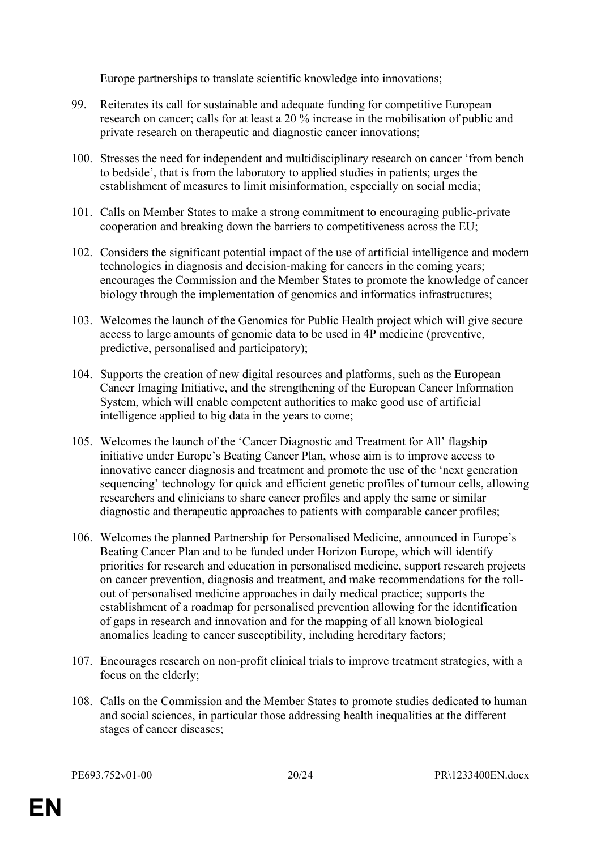Europe partnerships to translate scientific knowledge into innovations;

- 99. Reiterates its call for sustainable and adequate funding for competitive European research on cancer; calls for at least a 20 % increase in the mobilisation of public and private research on therapeutic and diagnostic cancer innovations;
- 100. Stresses the need for independent and multidisciplinary research on cancer 'from bench to bedside', that is from the laboratory to applied studies in patients; urges the establishment of measures to limit misinformation, especially on social media;
- 101. Calls on Member States to make a strong commitment to encouraging public-private cooperation and breaking down the barriers to competitiveness across the EU;
- 102. Considers the significant potential impact of the use of artificial intelligence and modern technologies in diagnosis and decision-making for cancers in the coming years; encourages the Commission and the Member States to promote the knowledge of cancer biology through the implementation of genomics and informatics infrastructures;
- 103. Welcomes the launch of the Genomics for Public Health project which will give secure access to large amounts of genomic data to be used in 4P medicine (preventive, predictive, personalised and participatory);
- 104. Supports the creation of new digital resources and platforms, such as the European Cancer Imaging Initiative, and the strengthening of the European Cancer Information System, which will enable competent authorities to make good use of artificial intelligence applied to big data in the years to come;
- 105. Welcomes the launch of the 'Cancer Diagnostic and Treatment for All' flagship initiative under Europe's Beating Cancer Plan, whose aim is to improve access to innovative cancer diagnosis and treatment and promote the use of the 'next generation sequencing' technology for quick and efficient genetic profiles of tumour cells, allowing researchers and clinicians to share cancer profiles and apply the same or similar diagnostic and therapeutic approaches to patients with comparable cancer profiles;
- 106. Welcomes the planned Partnership for Personalised Medicine, announced in Europe's Beating Cancer Plan and to be funded under Horizon Europe, which will identify priorities for research and education in personalised medicine, support research projects on cancer prevention, diagnosis and treatment, and make recommendations for the rollout of personalised medicine approaches in daily medical practice; supports the establishment of a roadmap for personalised prevention allowing for the identification of gaps in research and innovation and for the mapping of all known biological anomalies leading to cancer susceptibility, including hereditary factors;
- 107. Encourages research on non-profit clinical trials to improve treatment strategies, with a focus on the elderly;
- 108. Calls on the Commission and the Member States to promote studies dedicated to human and social sciences, in particular those addressing health inequalities at the different stages of cancer diseases;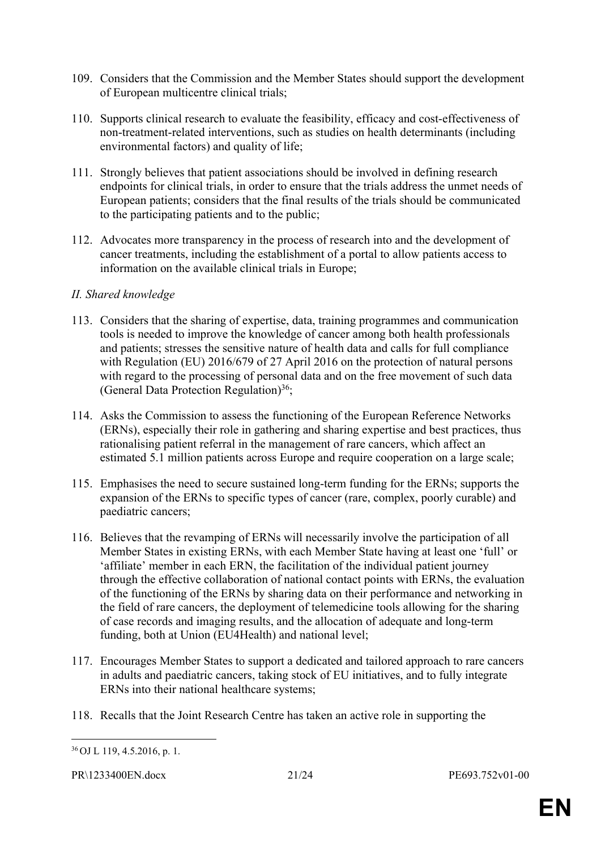- 109. Considers that the Commission and the Member States should support the development of European multicentre clinical trials;
- 110. Supports clinical research to evaluate the feasibility, efficacy and cost-effectiveness of non-treatment-related interventions, such as studies on health determinants (including environmental factors) and quality of life;
- 111. Strongly believes that patient associations should be involved in defining research endpoints for clinical trials, in order to ensure that the trials address the unmet needs of European patients; considers that the final results of the trials should be communicated to the participating patients and to the public;
- 112. Advocates more transparency in the process of research into and the development of cancer treatments, including the establishment of a portal to allow patients access to information on the available clinical trials in Europe;

#### *II. Shared knowledge*

- 113. Considers that the sharing of expertise, data, training programmes and communication tools is needed to improve the knowledge of cancer among both health professionals and patients; stresses the sensitive nature of health data and calls for full compliance with Regulation (EU) 2016/679 of 27 April 2016 on the protection of natural persons with regard to the processing of personal data and on the free movement of such data (General Data Protection Regulation)<sup>36</sup>;
- 114. Asks the Commission to assess the functioning of the European Reference Networks (ERNs), especially their role in gathering and sharing expertise and best practices, thus rationalising patient referral in the management of rare cancers, which affect an estimated 5.1 million patients across Europe and require cooperation on a large scale;
- 115. Emphasises the need to secure sustained long-term funding for the ERNs; supports the expansion of the ERNs to specific types of cancer (rare, complex, poorly curable) and paediatric cancers;
- 116. Believes that the revamping of ERNs will necessarily involve the participation of all Member States in existing ERNs, with each Member State having at least one 'full' or 'affiliate' member in each ERN, the facilitation of the individual patient journey through the effective collaboration of national contact points with ERNs, the evaluation of the functioning of the ERNs by sharing data on their performance and networking in the field of rare cancers, the deployment of telemedicine tools allowing for the sharing of case records and imaging results, and the allocation of adequate and long-term funding, both at Union (EU4Health) and national level;
- 117. Encourages Member States to support a dedicated and tailored approach to rare cancers in adults and paediatric cancers, taking stock of EU initiatives, and to fully integrate ERNs into their national healthcare systems;
- 118. Recalls that the Joint Research Centre has taken an active role in supporting the

<sup>36</sup> OJ L 119, 4.5.2016, p. 1.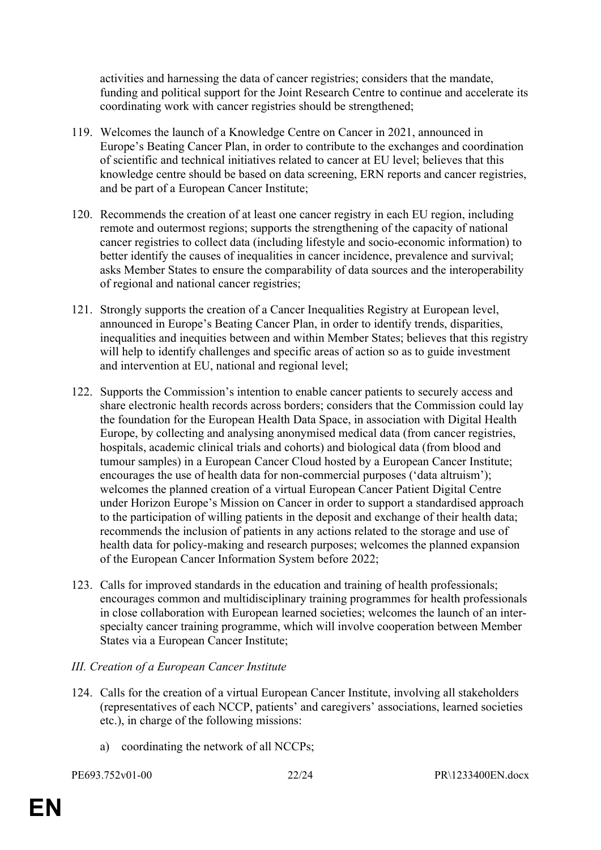activities and harnessing the data of cancer registries; considers that the mandate, funding and political support for the Joint Research Centre to continue and accelerate its coordinating work with cancer registries should be strengthened;

- 119. Welcomes the launch of a Knowledge Centre on Cancer in 2021, announced in Europe's Beating Cancer Plan, in order to contribute to the exchanges and coordination of scientific and technical initiatives related to cancer at EU level; believes that this knowledge centre should be based on data screening, ERN reports and cancer registries, and be part of a European Cancer Institute;
- 120. Recommends the creation of at least one cancer registry in each EU region, including remote and outermost regions; supports the strengthening of the capacity of national cancer registries to collect data (including lifestyle and socio-economic information) to better identify the causes of inequalities in cancer incidence, prevalence and survival; asks Member States to ensure the comparability of data sources and the interoperability of regional and national cancer registries;
- 121. Strongly supports the creation of a Cancer Inequalities Registry at European level, announced in Europe's Beating Cancer Plan, in order to identify trends, disparities, inequalities and inequities between and within Member States; believes that this registry will help to identify challenges and specific areas of action so as to guide investment and intervention at EU, national and regional level;
- 122. Supports the Commission's intention to enable cancer patients to securely access and share electronic health records across borders; considers that the Commission could lay the foundation for the European Health Data Space, in association with Digital Health Europe, by collecting and analysing anonymised medical data (from cancer registries, hospitals, academic clinical trials and cohorts) and biological data (from blood and tumour samples) in a European Cancer Cloud hosted by a European Cancer Institute; encourages the use of health data for non-commercial purposes ('data altruism'); welcomes the planned creation of a virtual European Cancer Patient Digital Centre under Horizon Europe's Mission on Cancer in order to support a standardised approach to the participation of willing patients in the deposit and exchange of their health data; recommends the inclusion of patients in any actions related to the storage and use of health data for policy-making and research purposes; welcomes the planned expansion of the European Cancer Information System before 2022;
- 123. Calls for improved standards in the education and training of health professionals; encourages common and multidisciplinary training programmes for health professionals in close collaboration with European learned societies; welcomes the launch of an interspecialty cancer training programme, which will involve cooperation between Member States via a European Cancer Institute;

#### *III. Creation of a European Cancer Institute*

- 124. Calls for the creation of a virtual European Cancer Institute, involving all stakeholders (representatives of each NCCP, patients' and caregivers' associations, learned societies etc.), in charge of the following missions:
	- a) coordinating the network of all NCCPs;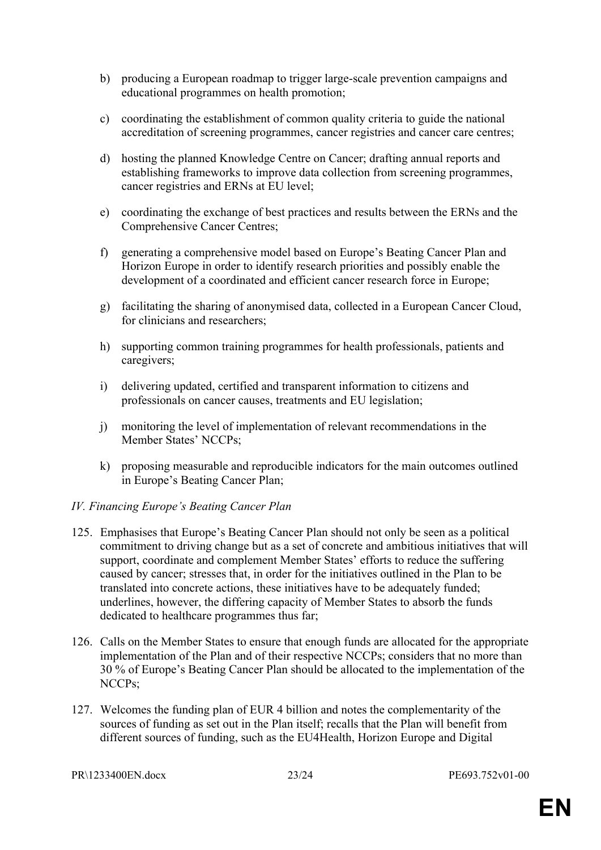- b) producing a European roadmap to trigger large-scale prevention campaigns and educational programmes on health promotion;
- c) coordinating the establishment of common quality criteria to guide the national accreditation of screening programmes, cancer registries and cancer care centres;
- d) hosting the planned Knowledge Centre on Cancer; drafting annual reports and establishing frameworks to improve data collection from screening programmes, cancer registries and ERNs at EU level;
- e) coordinating the exchange of best practices and results between the ERNs and the Comprehensive Cancer Centres;
- f) generating a comprehensive model based on Europe's Beating Cancer Plan and Horizon Europe in order to identify research priorities and possibly enable the development of a coordinated and efficient cancer research force in Europe;
- g) facilitating the sharing of anonymised data, collected in a European Cancer Cloud, for clinicians and researchers;
- h) supporting common training programmes for health professionals, patients and caregivers;
- i) delivering updated, certified and transparent information to citizens and professionals on cancer causes, treatments and EU legislation;
- j) monitoring the level of implementation of relevant recommendations in the Member States' NCCPs;
- k) proposing measurable and reproducible indicators for the main outcomes outlined in Europe's Beating Cancer Plan;

#### *IV. Financing Europe's Beating Cancer Plan*

- 125. Emphasises that Europe's Beating Cancer Plan should not only be seen as a political commitment to driving change but as a set of concrete and ambitious initiatives that will support, coordinate and complement Member States' efforts to reduce the suffering caused by cancer; stresses that, in order for the initiatives outlined in the Plan to be translated into concrete actions, these initiatives have to be adequately funded; underlines, however, the differing capacity of Member States to absorb the funds dedicated to healthcare programmes thus far;
- 126. Calls on the Member States to ensure that enough funds are allocated for the appropriate implementation of the Plan and of their respective NCCPs; considers that no more than 30 % of Europe's Beating Cancer Plan should be allocated to the implementation of the NCCPs;
- 127. Welcomes the funding plan of EUR 4 billion and notes the complementarity of the sources of funding as set out in the Plan itself; recalls that the Plan will benefit from different sources of funding, such as the EU4Health, Horizon Europe and Digital